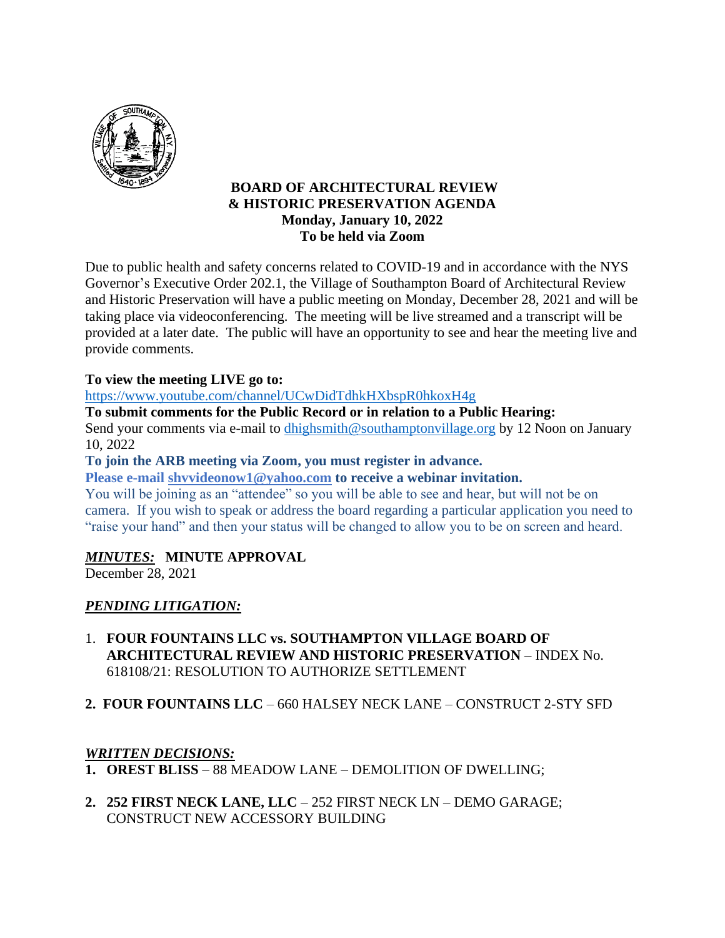

### **BOARD OF ARCHITECTURAL REVIEW & HISTORIC PRESERVATION AGENDA Monday, January 10, 2022 To be held via Zoom**

Due to public health and safety concerns related to COVID-19 and in accordance with the NYS Governor's Executive Order 202.1, the Village of Southampton Board of Architectural Review and Historic Preservation will have a public meeting on Monday, December 28, 2021 and will be taking place via videoconferencing. The meeting will be live streamed and a transcript will be provided at a later date. The public will have an opportunity to see and hear the meeting live and provide comments.

### **To view the meeting LIVE go to:**

<https://www.youtube.com/channel/UCwDidTdhkHXbspR0hkoxH4g>

**To submit comments for the Public Record or in relation to a Public Hearing:**

Send your comments via e-mail to dhighsmith@southamptonvillage.org by 12 Noon on January 10, 2022

**To join the ARB meeting via Zoom, you must register in advance.**

**Please e-mail shvvideonow1@yahoo.com to receive a webinar invitation.**

You will be joining as an "attendee" so you will be able to see and hear, but will not be on camera. If you wish to speak or address the board regarding a particular application you need to "raise your hand" and then your status will be changed to allow you to be on screen and heard.

### *MINUTES:* **MINUTE APPROVAL**

December 28, 2021

### *PENDING LITIGATION:*

- 1. **FOUR FOUNTAINS LLC vs. SOUTHAMPTON VILLAGE BOARD OF ARCHITECTURAL REVIEW AND HISTORIC PRESERVATION** – INDEX No. 618108/21: RESOLUTION TO AUTHORIZE SETTLEMENT
- **2. FOUR FOUNTAINS LLC** 660 HALSEY NECK LANE CONSTRUCT 2-STY SFD

### *WRITTEN DECISIONS:*

- **1. OREST BLISS** 88 MEADOW LANE DEMOLITION OF DWELLING;
- **2. 252 FIRST NECK LANE, LLC**  252 FIRST NECK LN DEMO GARAGE; CONSTRUCT NEW ACCESSORY BUILDING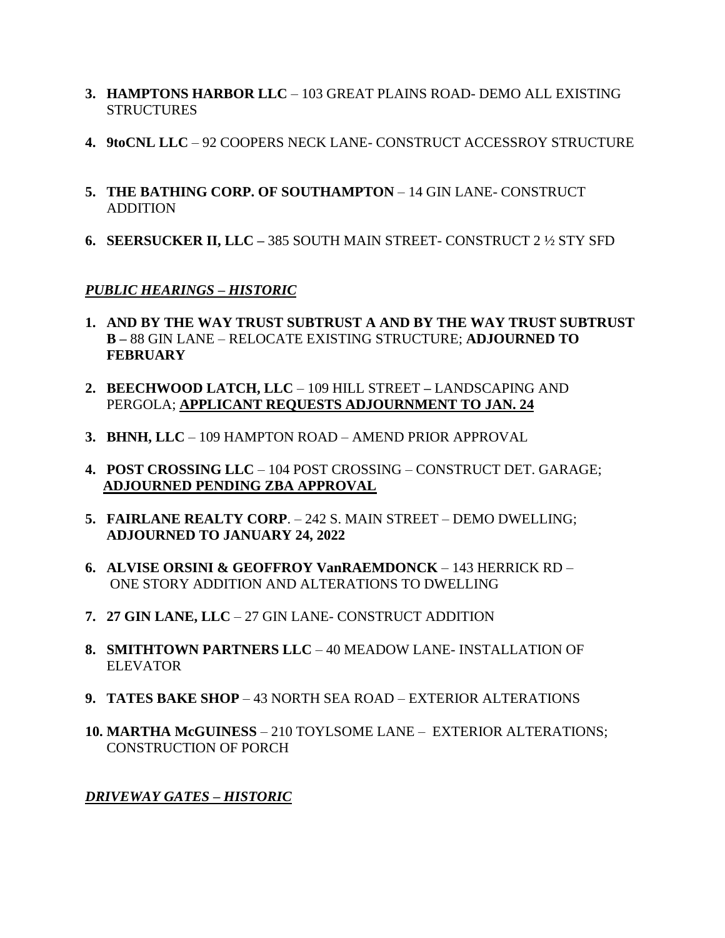- **3. HAMPTONS HARBOR LLC**  103 GREAT PLAINS ROAD- DEMO ALL EXISTING **STRUCTURES**
- **4. 9toCNL LLC**  92 COOPERS NECK LANE- CONSTRUCT ACCESSROY STRUCTURE
- **5. THE BATHING CORP. OF SOUTHAMPTON 14 GIN LANE- CONSTRUCT** ADDITION
- **6. SEERSUCKER II, LLC –** 385 SOUTH MAIN STREET- CONSTRUCT 2 ½ STY SFD

# *PUBLIC HEARINGS – HISTORIC*

- **1. AND BY THE WAY TRUST SUBTRUST A AND BY THE WAY TRUST SUBTRUST B –** 88 GIN LANE – RELOCATE EXISTING STRUCTURE; **ADJOURNED TO FEBRUARY**
- **2. BEECHWOOD LATCH, LLC** 109 HILL STREET **–** LANDSCAPING AND PERGOLA; **APPLICANT REQUESTS ADJOURNMENT TO JAN. 24**
- **3. BHNH, LLC** 109 HAMPTON ROAD AMEND PRIOR APPROVAL
- **4. POST CROSSING LLC** 104 POST CROSSING CONSTRUCT DET. GARAGE;  **ADJOURNED PENDING ZBA APPROVAL**
- **5. FAIRLANE REALTY CORP**. 242 S. MAIN STREET DEMO DWELLING; **ADJOURNED TO JANUARY 24, 2022**
- **6. ALVISE ORSINI & GEOFFROY VanRAEMDONCK** 143 HERRICK RD ONE STORY ADDITION AND ALTERATIONS TO DWELLING
- **7. 27 GIN LANE, LLC**  27 GIN LANE- CONSTRUCT ADDITION
- **8. SMITHTOWN PARTNERS LLC**  40 MEADOW LANE- INSTALLATION OF ELEVATOR
- **9. TATES BAKE SHOP** 43 NORTH SEA ROAD EXTERIOR ALTERATIONS
- **10. MARTHA McGUINESS** 210 TOYLSOME LANE EXTERIOR ALTERATIONS; CONSTRUCTION OF PORCH

# *DRIVEWAY GATES – HISTORIC*